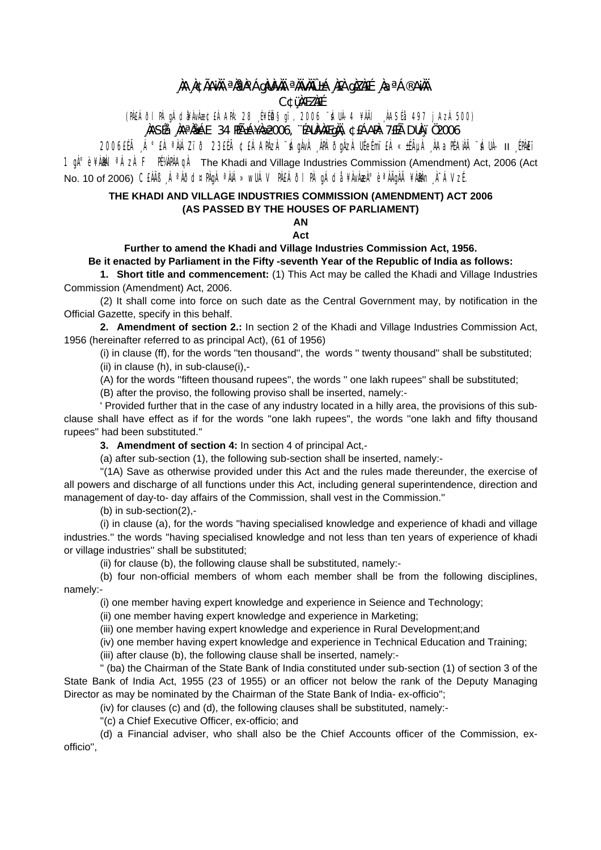## ùa ra Acamh an 1945 an Chuinneachd an Chaidh An . **C¢üMEZAFÉ**

(PAEÁÕI PÀ gÁd¥ÀvÀ梣ÁAPÀ: 28 É¥Éħgï, 2006 "ÁUÀ-4 ¥ÀÄI AASÉå 497 jAzÀ 500)

.<br>NASÍå NAªNLÁE 34 HıÁ¥Næ2006, "ÉAUNANEqNI, ¢£ÁANN: 7£Éà DUN ï 02006

1900 THÀ "A "A "ANAZI" O 23ELA ¢EÁAPAZA "SÁGANA APÁOGAZA UÉGÉMIEA «±ÉALA AAQIFANA "SÁUA- II EPAET" 1  $\mathfrak{g}^{\text{A}}$ ° è ¥AM | <sup>a</sup>ÁzÀ F PÉVAPÀA $\mathfrak{g}$ À The Khadi and Village Industries Commission (Amendment) Act, 2006 (Act No. 10 of 2006) CEÀÄB "ÁªÀÕd¤PÀqÀ ªÀiÁ»wUÁV PÀEÁÕI PÀ qÁdå ¥ÀvÀæÀ°èªÀÄqÀÄ ¥ÀÐÀn À¯ÁVzÉ.

## THE KHADI AND VILLAGE INDUSTRIES COMMISSION (AMENDMENT) ACT 2006 (AS PASSED BY THE HOUSES OF PARLIAMENT)

## AN Act

## Further to amend the Khadi and Village Industries Commission Act, 1956. Be it enacted by Parliament in the Fifty -seventh Year of the Republic of India as follows:

1. Short title and commencement: (1) This Act may be called the Khadi and Village Industries Commission (Amendment) Act, 2006.

(2) It shall come into force on such date as the Central Government may, by notification in the Official Gazette, specify in this behalf.

2. Amendment of section 2.: In section 2 of the Khadi and Village Industries Commission Act, 1956 (hereinafter referred to as principal Act), (61 of 1956)

(i) in clause (ff), for the words "ten thousand", the words " twenty thousand" shall be substituted;

(ii) in clause (h), in sub-clause(i),-

(A) for the words "fifteen thousand rupees", the words " one lakh rupees" shall be substituted;

(B) after the proviso, the following proviso shall be inserted, namely:-

Provided further that in the case of any industry located in a hilly area, the provisions of this subclause shall have effect as if for the words "one lakh rupees", the words "one lakh and fifty thousand rupees" had been substituted."

3. Amendment of section 4: In section 4 of principal Act,-

(a) after sub-section (1), the following sub-section shall be inserted, namely:-

"(1A) Save as otherwise provided under this Act and the rules made thereunder, the exercise of all powers and discharge of all functions under this Act, including general superintendence, direction and management of day-to- day affairs of the Commission, shall vest in the Commission."

(b) in sub-section(2),-

(i) in clause (a), for the words "having specialised knowledge and experience of khadi and village industries." the words "having specialised knowledge and not less than ten vears of experience of khadi or village industries" shall be substituted;

(ii) for clause (b), the following clause shall be substituted, namely:-

(b) four non-official members of whom each member shall be from the following disciplines, namely:-

(i) one member having expert knowledge and experience in Seience and Technology;

(ii) one member having expert knowledge and experience in Marketing;

(iii) one member having expert knowledge and experience in Rural Development; and

(iv) one member having expert knowledge and experience in Technical Education and Training;

(iii) after clause (b), the following clause shall be inserted, namely:-

" (ba) the Chairman of the State Bank of India constituted under sub-section (1) of section 3 of the State Bank of India Act, 1955 (23 of 1955) or an officer not below the rank of the Deputy Managing Director as may be nominated by the Chairman of the State Bank of India-ex-officio":

(iv) for clauses (c) and (d), the following clauses shall be substituted, namely:-

"(c) a Chief Executive Officer, ex-officio; and

(d) a Financial adviser, who shall also be the Chief Accounts officer of the Commission, exofficio".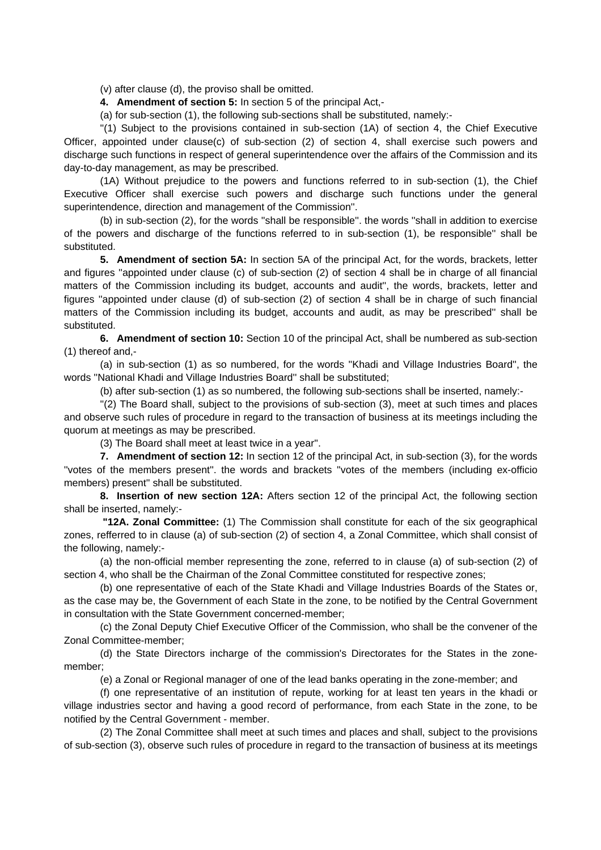(v) after clause (d), the proviso shall be omitted.

**4. Amendment of section 5:** In section 5 of the principal Act,-

(a) for sub-section (1), the following sub-sections shall be substituted, namely:-

 ''(1) Subject to the provisions contained in sub-section (1A) of section 4, the Chief Executive Officer, appointed under clause(c) of sub-section (2) of section 4, shall exercise such powers and discharge such functions in respect of general superintendence over the affairs of the Commission and its day-to-day management, as may be prescribed.

 (1A) Without prejudice to the powers and functions referred to in sub-section (1), the Chief Executive Officer shall exercise such powers and discharge such functions under the general superintendence, direction and management of the Commission''.

 (b) in sub-section (2), for the words ''shall be responsible''. the words ''shall in addition to exercise of the powers and discharge of the functions referred to in sub-section (1), be responsible'' shall be substituted.

**5. Amendment of section 5A:** In section 5A of the principal Act, for the words, brackets, letter and figures ''appointed under clause (c) of sub-section (2) of section 4 shall be in charge of all financial matters of the Commission including its budget, accounts and audit'', the words, brackets, letter and figures ''appointed under clause (d) of sub-section (2) of section 4 shall be in charge of such financial matters of the Commission including its budget, accounts and audit, as may be prescribed'' shall be substituted.

**6. Amendment of section 10:** Section 10 of the principal Act, shall be numbered as sub-section (1) thereof and,-

 (a) in sub-section (1) as so numbered, for the words ''Khadi and Village Industries Board'', the words ''National Khadi and Village Industries Board'' shall be substituted;

(b) after sub-section (1) as so numbered, the following sub-sections shall be inserted, namely:-

 ''(2) The Board shall, subject to the provisions of sub-section (3), meet at such times and places and observe such rules of procedure in regard to the transaction of business at its meetings including the quorum at meetings as may be prescribed.

(3) The Board shall meet at least twice in a year''.

**7. Amendment of section 12:** In section 12 of the principal Act, in sub-section (3), for the words ''votes of the members present''. the words and brackets ''votes of the members (including ex-officio members) present'' shall be substituted.

**8. Insertion of new section 12A:** Afters section 12 of the principal Act, the following section shall be inserted, namely:-

 **"12A. Zonal Committee:** (1) The Commission shall constitute for each of the six geographical zones, refferred to in clause (a) of sub-section (2) of section 4, a Zonal Committee, which shall consist of the following, namely:-

 (a) the non-official member representing the zone, referred to in clause (a) of sub-section (2) of section 4, who shall be the Chairman of the Zonal Committee constituted for respective zones;

 (b) one representative of each of the State Khadi and Village Industries Boards of the States or, as the case may be, the Government of each State in the zone, to be notified by the Central Government in consultation with the State Government concerned-member;

 (c) the Zonal Deputy Chief Executive Officer of the Commission, who shall be the convener of the Zonal Committee-member;

 (d) the State Directors incharge of the commission's Directorates for the States in the zonemember;

(e) a Zonal or Regional manager of one of the lead banks operating in the zone-member; and

 (f) one representative of an institution of repute, working for at least ten years in the khadi or village industries sector and having a good record of performance, from each State in the zone, to be notified by the Central Government - member.

 (2) The Zonal Committee shall meet at such times and places and shall, subject to the provisions of sub-section (3), observe such rules of procedure in regard to the transaction of business at its meetings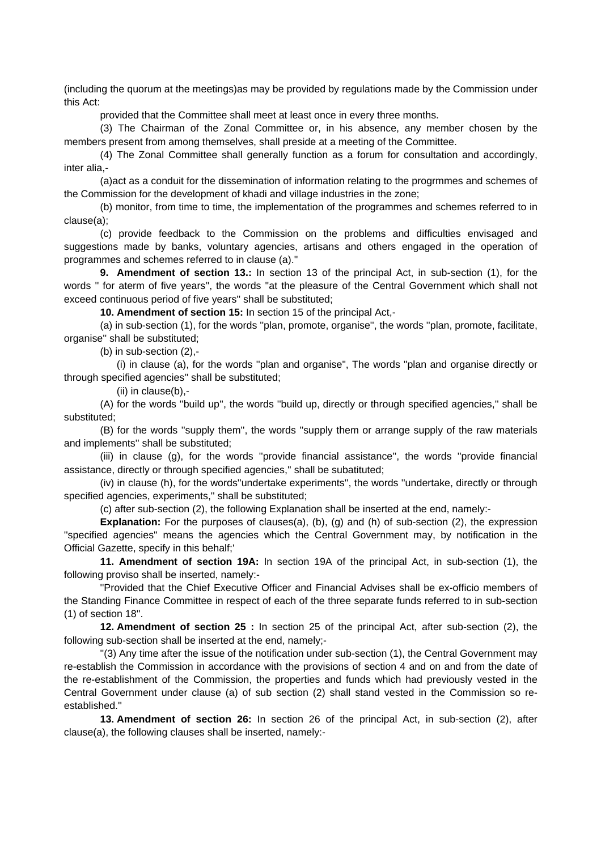(including the quorum at the meetings)as may be provided by regulations made by the Commission under this Act:

provided that the Committee shall meet at least once in every three months.

 (3) The Chairman of the Zonal Committee or, in his absence, any member chosen by the members present from among themselves, shall preside at a meeting of the Committee.

 (4) The Zonal Committee shall generally function as a forum for consultation and accordingly, inter alia,-

 (a)act as a conduit for the dissemination of information relating to the progrmmes and schemes of the Commission for the development of khadi and village industries in the zone;

 (b) monitor, from time to time, the implementation of the programmes and schemes referred to in clause(a);

 (c) provide feedback to the Commission on the problems and difficulties envisaged and suggestions made by banks, voluntary agencies, artisans and others engaged in the operation of programmes and schemes referred to in clause (a).''

**9. Amendment of section 13.:** In section 13 of the principal Act, in sub-section (1), for the words '' for aterm of five years'', the words ''at the pleasure of the Central Government which shall not exceed continuous period of five years'' shall be substituted;

**10. Amendment of section 15:** In section 15 of the principal Act,-

 (a) in sub-section (1), for the words ''plan, promote, organise'', the words ''plan, promote, facilitate, organise'' shall be substituted;

(b) in sub-section (2),-

 (i) in clause (a), for the words ''plan and organise", The words "plan and organise directly or through specified agencies'' shall be substituted;

(ii) in clause(b),-

 (A) for the words ''build up'', the words ''build up, directly or through specified agencies,'' shall be substituted;

 (B) for the words ''supply them'', the words ''supply them or arrange supply of the raw materials and implements'' shall be substituted;

 (iii) in clause (g), for the words ''provide financial assistance'', the words ''provide financial assistance, directly or through specified agencies,'' shall be subatituted;

 (iv) in clause (h), for the words''undertake experiments'', the words ''undertake, directly or through specified agencies, experiments,'' shall be substituted;

(c) after sub-section (2), the following Explanation shall be inserted at the end, namely:-

**Explanation:** For the purposes of clauses(a), (b), (g) and (h) of sub-section (2), the expression ''specified agencies'' means the agencies which the Central Government may, by notification in the Official Gazette, specify in this behalf;'

**11. Amendment of section 19A:** In section 19A of the principal Act, in sub-section (1), the following proviso shall be inserted, namely:-

 ''Provided that the Chief Executive Officer and Financial Advises shall be ex-officio members of the Standing Finance Committee in respect of each of the three separate funds referred to in sub-section (1) of section 18''.

**12. Amendment of section 25 :** In section 25 of the principal Act, after sub-section (2), the following sub-section shall be inserted at the end, namely;-

 ''(3) Any time after the issue of the notification under sub-section (1), the Central Government may re-establish the Commission in accordance with the provisions of section 4 and on and from the date of the re-establishment of the Commission, the properties and funds which had previously vested in the Central Government under clause (a) of sub section (2) shall stand vested in the Commission so reestablished.''

**13. Amendment of section 26:** In section 26 of the principal Act, in sub-section (2), after clause(a), the following clauses shall be inserted, namely:-